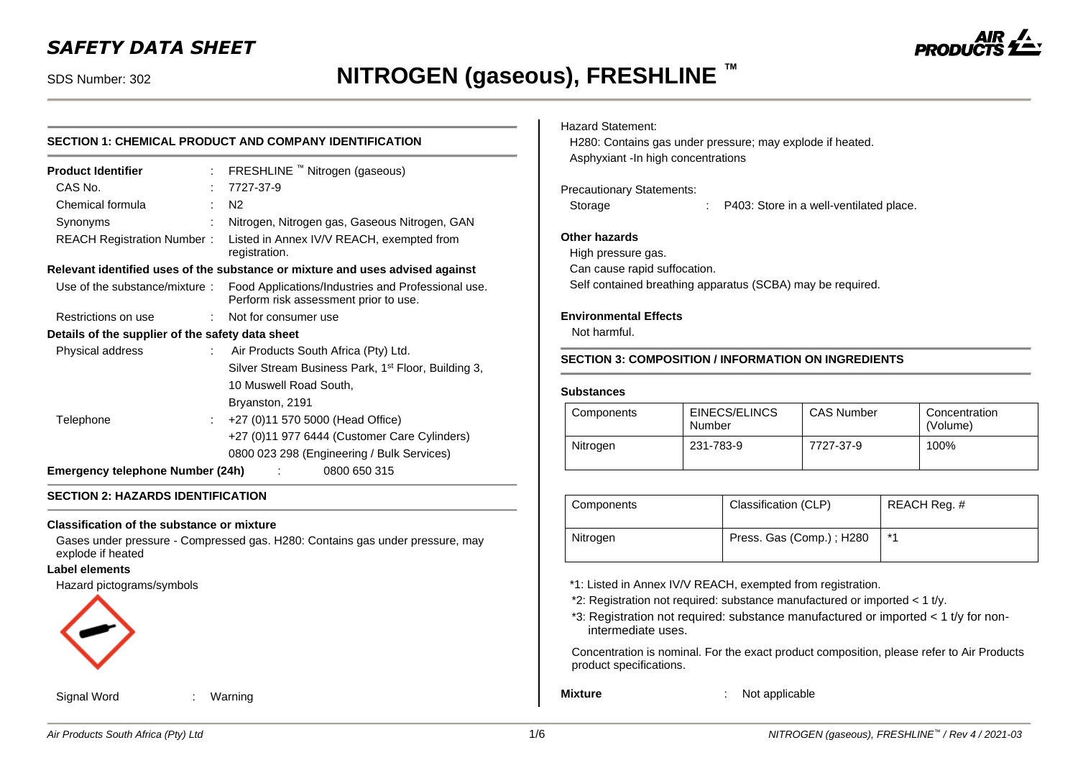## *SAFETY DATA SHEET*

## SDS Number: 302 **NITROGEN (gaseous), FRESHLINE ™**

## **SECTION 1: CHEMICAL PRODUCT AND COMPANY IDENTIFICATION**

| <b>Product Identifier</b>                        | : FRESHLINE ™ Nitrogen (gaseous)                                                            |
|--------------------------------------------------|---------------------------------------------------------------------------------------------|
| CAS No.                                          | 7727-37-9                                                                                   |
| Chemical formula                                 | N <sub>2</sub>                                                                              |
| Synonyms                                         | Nitrogen, Nitrogen gas, Gaseous Nitrogen, GAN                                               |
| REACH Registration Number:                       | Listed in Annex IV/V REACH, exempted from<br>registration.                                  |
|                                                  | Relevant identified uses of the substance or mixture and uses advised against               |
| Use of the substance/mixture:                    | Food Applications/Industries and Professional use.<br>Perform risk assessment prior to use. |
| Restrictions on use                              | : Not for consumer use                                                                      |
| Details of the supplier of the safety data sheet |                                                                                             |
| Physical address                                 | : Air Products South Africa (Pty) Ltd.                                                      |
|                                                  | Silver Stream Business Park, 1 <sup>st</sup> Floor, Building 3,                             |
|                                                  | 10 Muswell Road South,                                                                      |
|                                                  | Bryanston, 2191                                                                             |
| Telephone                                        | +27 (0)11 570 5000 (Head Office)                                                            |
|                                                  | +27 (0)11 977 6444 (Customer Care Cylinders)                                                |
|                                                  | 0800 023 298 (Engineering / Bulk Services)                                                  |
| Emergency telephone Number (24h)                 | 0800 650 315                                                                                |

#### **SECTION 2: HAZARDS IDENTIFICATION**

#### **Classification of the substance or mixture**

Gases under pressure - Compressed gas. H280: Contains gas under pressure, may explode if heated

#### **Label elements**

#### Hazard pictograms/symbols



Signal Word : Warning

#### Hazard Statement:

H280: Contains gas under pressure; may explode if heated. Asphyxiant -In high concentrations

#### Precautionary Statements:

Storage : P403: Store in a well-ventilated place.

### **Other hazards**

High pressure gas.

Can cause rapid suffocation.

Self contained breathing apparatus (SCBA) may be required.

#### **Environmental Effects**

Not harmful.

#### **SECTION 3: COMPOSITION / INFORMATION ON INGREDIENTS**

#### **Substances**

| Components | EINECS/ELINCS<br>Number | <b>CAS Number</b> | Concentration<br>(Volume) |
|------------|-------------------------|-------------------|---------------------------|
| Nitrogen   | 231-783-9               | 7727-37-9         | 100%                      |

| Components | Classification (CLP)     | REACH Req. # |
|------------|--------------------------|--------------|
| Nitrogen   | Press. Gas (Comp.); H280 | $*1$         |

- \*1: Listed in Annex IV/V REACH, exempted from registration.
- \*2: Registration not required: substance manufactured or imported < 1 t/y.
- \*3: Registration not required: substance manufactured or imported < 1 t/y for nonintermediate uses.

Concentration is nominal. For the exact product composition, please refer to Air Products product specifications.

**Mixture** : Not applicable

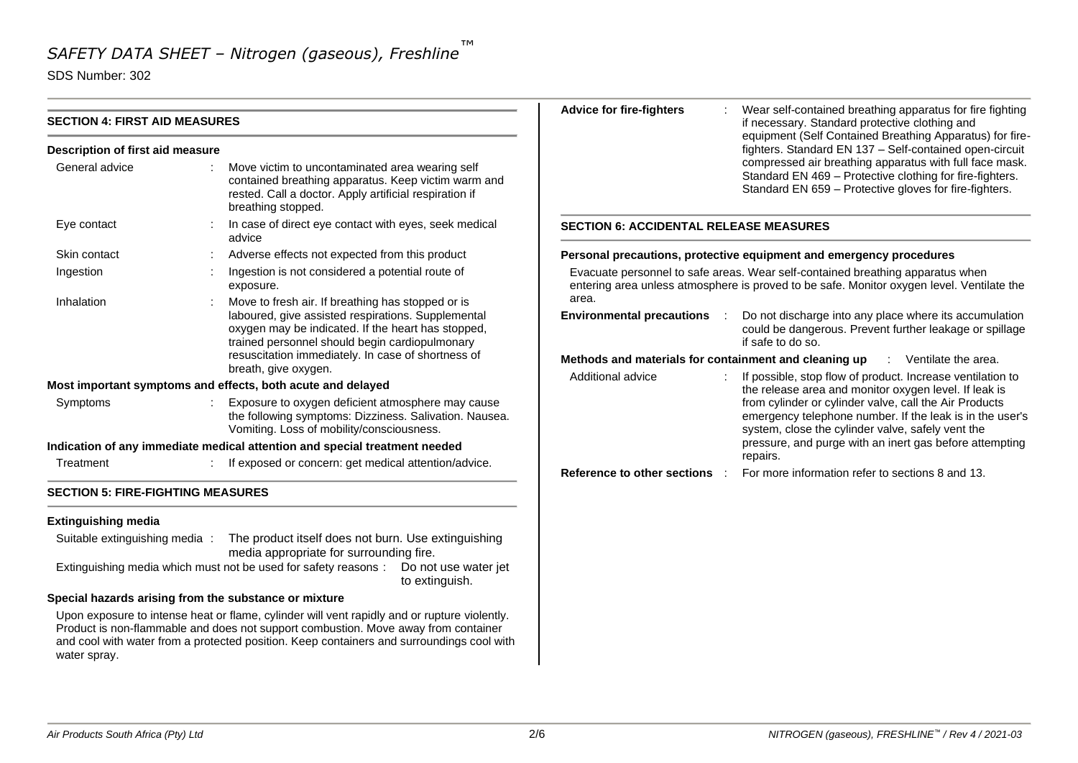SDS Number: 302

|                                                                                                                                                                                                          |  |                                                                                                                                                                                                                                                                                 | <b>Advice for fire-fighters</b>                                                                                                                                                                                                  | Wear self-contained breathing apparatus for fire fighting                                                                                                                     |  |  |
|----------------------------------------------------------------------------------------------------------------------------------------------------------------------------------------------------------|--|---------------------------------------------------------------------------------------------------------------------------------------------------------------------------------------------------------------------------------------------------------------------------------|----------------------------------------------------------------------------------------------------------------------------------------------------------------------------------------------------------------------------------|-------------------------------------------------------------------------------------------------------------------------------------------------------------------------------|--|--|
| <b>SECTION 4: FIRST AID MEASURES</b>                                                                                                                                                                     |  |                                                                                                                                                                                                                                                                                 |                                                                                                                                                                                                                                  | if necessary. Standard protective clothing and                                                                                                                                |  |  |
| Description of first aid measure                                                                                                                                                                         |  |                                                                                                                                                                                                                                                                                 |                                                                                                                                                                                                                                  | equipment (Self Contained Breathing Apparatus) for fire-<br>fighters. Standard EN 137 - Self-contained open-circuit                                                           |  |  |
| General advice<br>Move victim to uncontaminated area wearing self<br>contained breathing apparatus. Keep victim warm and<br>rested. Call a doctor. Apply artificial respiration if<br>breathing stopped. |  |                                                                                                                                                                                                                                                                                 |                                                                                                                                                                                                                                  | compressed air breathing apparatus with full face mask.<br>Standard EN 469 - Protective clothing for fire-fighters.<br>Standard EN 659 - Protective gloves for fire-fighters. |  |  |
| Eye contact                                                                                                                                                                                              |  | In case of direct eye contact with eyes, seek medical<br>advice                                                                                                                                                                                                                 | <b>SECTION 6: ACCIDENTAL RELEASE MEASURES</b>                                                                                                                                                                                    |                                                                                                                                                                               |  |  |
| Skin contact                                                                                                                                                                                             |  | Adverse effects not expected from this product                                                                                                                                                                                                                                  |                                                                                                                                                                                                                                  | Personal precautions, protective equipment and emergency procedures                                                                                                           |  |  |
| Ingestion                                                                                                                                                                                                |  | Ingestion is not considered a potential route of<br>exposure.                                                                                                                                                                                                                   |                                                                                                                                                                                                                                  | Evacuate personnel to safe areas. Wear self-contained breathing apparatus when<br>entering area unless atmosphere is proved to be safe. Monitor oxygen level. Ventilate the   |  |  |
| Inhalation                                                                                                                                                                                               |  | Move to fresh air. If breathing has stopped or is<br>laboured, give assisted respirations. Supplemental<br>oxygen may be indicated. If the heart has stopped,<br>trained personnel should begin cardiopulmonary                                                                 | area.<br><b>Environmental precautions</b>                                                                                                                                                                                        | Do not discharge into any place where its accumulation<br>could be dangerous. Prevent further leakage or spillage<br>if safe to do so.                                        |  |  |
| resuscitation immediately. In case of shortness of                                                                                                                                                       |  |                                                                                                                                                                                                                                                                                 | Methods and materials for containment and cleaning up<br>: Ventilate the area.                                                                                                                                                   |                                                                                                                                                                               |  |  |
|                                                                                                                                                                                                          |  | breath, give oxygen.<br>Most important symptoms and effects, both acute and delayed                                                                                                                                                                                             | Additional advice                                                                                                                                                                                                                | If possible, stop flow of product. Increase ventilation to                                                                                                                    |  |  |
| Exposure to oxygen deficient atmosphere may cause<br>Symptoms<br>the following symptoms: Dizziness. Salivation. Nausea.<br>Vomiting. Loss of mobility/consciousness.                                     |  |                                                                                                                                                                                                                                                                                 | the release area and monitor oxygen level. If leak is<br>from cylinder or cylinder valve, call the Air Products<br>emergency telephone number. If the leak is in the user's<br>system, close the cylinder valve, safely vent the |                                                                                                                                                                               |  |  |
|                                                                                                                                                                                                          |  | Indication of any immediate medical attention and special treatment needed                                                                                                                                                                                                      |                                                                                                                                                                                                                                  | pressure, and purge with an inert gas before attempting                                                                                                                       |  |  |
| Treatment                                                                                                                                                                                                |  | If exposed or concern: get medical attention/advice.                                                                                                                                                                                                                            | Reference to other sections :                                                                                                                                                                                                    | repairs.<br>For more information refer to sections 8 and 13.                                                                                                                  |  |  |
| <b>SECTION 5: FIRE-FIGHTING MEASURES</b>                                                                                                                                                                 |  |                                                                                                                                                                                                                                                                                 |                                                                                                                                                                                                                                  |                                                                                                                                                                               |  |  |
| <b>Extinguishing media</b>                                                                                                                                                                               |  |                                                                                                                                                                                                                                                                                 |                                                                                                                                                                                                                                  |                                                                                                                                                                               |  |  |
| Suitable extinguishing media:                                                                                                                                                                            |  | The product itself does not burn. Use extinguishing<br>media appropriate for surrounding fire.                                                                                                                                                                                  |                                                                                                                                                                                                                                  |                                                                                                                                                                               |  |  |
|                                                                                                                                                                                                          |  | Extinguishing media which must not be used for safety reasons :  Do not use water jet<br>to extinguish.                                                                                                                                                                         |                                                                                                                                                                                                                                  |                                                                                                                                                                               |  |  |
| Special hazards arising from the substance or mixture                                                                                                                                                    |  |                                                                                                                                                                                                                                                                                 |                                                                                                                                                                                                                                  |                                                                                                                                                                               |  |  |
| water spray.                                                                                                                                                                                             |  | Upon exposure to intense heat or flame, cylinder will vent rapidly and or rupture violently.<br>Product is non-flammable and does not support combustion. Move away from container<br>and cool with water from a protected position. Keep containers and surroundings cool with |                                                                                                                                                                                                                                  |                                                                                                                                                                               |  |  |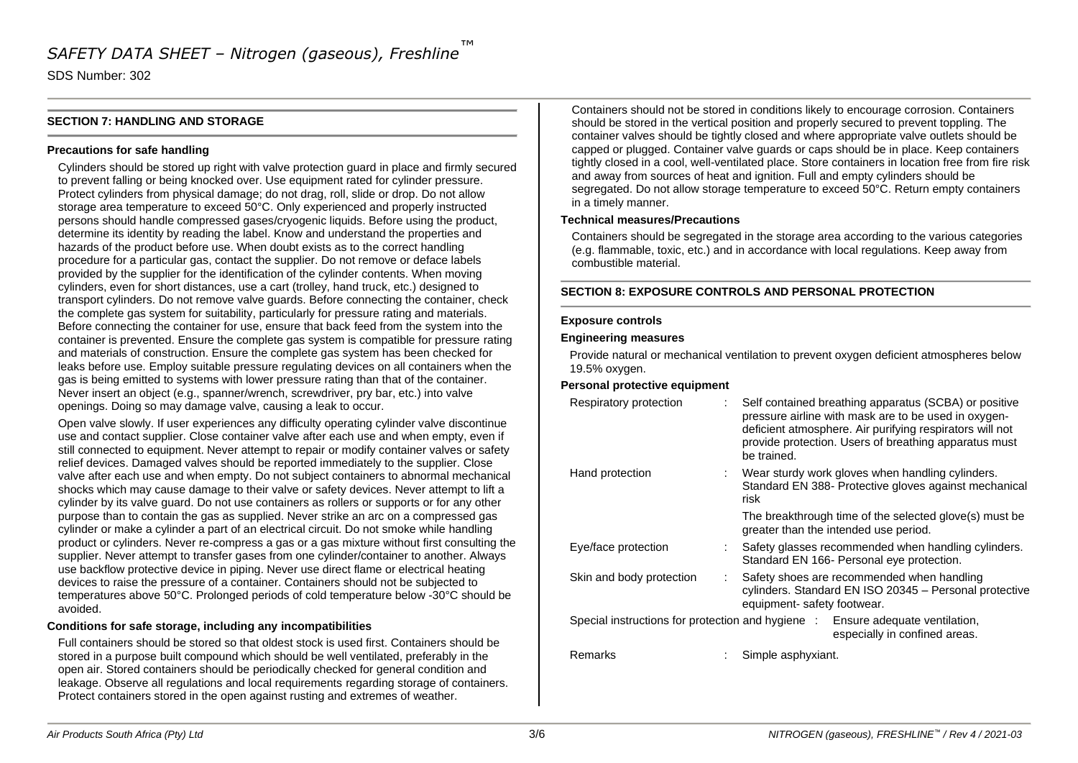SDS Number: 302

#### **SECTION 7: HANDLING AND STORAGE**

#### **Precautions for safe handling**

Cylinders should be stored up right with valve protection guard in place and firmly secured to prevent falling or being knocked over. Use equipment rated for cylinder pressure. Protect cylinders from physical damage; do not drag, roll, slide or drop. Do not allow storage area temperature to exceed 50°C. Only experienced and properly instructed persons should handle compressed gases/cryogenic liquids. Before using the product, determine its identity by reading the label. Know and understand the properties and hazards of the product before use. When doubt exists as to the correct handling procedure for a particular gas, contact the supplier. Do not remove or deface labels provided by the supplier for the identification of the cylinder contents. When moving cylinders, even for short distances, use a cart (trolley, hand truck, etc.) designed to transport cylinders. Do not remove valve guards. Before connecting the container, check the complete gas system for suitability, particularly for pressure rating and materials. Before connecting the container for use, ensure that back feed from the system into the container is prevented. Ensure the complete gas system is compatible for pressure rating and materials of construction. Ensure the complete gas system has been checked for leaks before use. Employ suitable pressure regulating devices on all containers when the gas is being emitted to systems with lower pressure rating than that of the container. Never insert an object (e.g., spanner/wrench, screwdriver, pry bar, etc.) into valve openings. Doing so may damage valve, causing a leak to occur.

Open valve slowly. If user experiences any difficulty operating cylinder valve discontinue use and contact supplier. Close container valve after each use and when empty, even if still connected to equipment. Never attempt to repair or modify container valves or safety relief devices. Damaged valves should be reported immediately to the supplier. Close valve after each use and when empty. Do not subject containers to abnormal mechanical shocks which may cause damage to their valve or safety devices. Never attempt to lift a cylinder by its valve guard. Do not use containers as rollers or supports or for any other purpose than to contain the gas as supplied. Never strike an arc on a compressed gas cylinder or make a cylinder a part of an electrical circuit. Do not smoke while handling product or cylinders. Never re-compress a gas or a gas mixture without first consulting the supplier. Never attempt to transfer gases from one cylinder/container to another. Always use backflow protective device in piping. Never use direct flame or electrical heating devices to raise the pressure of a container. Containers should not be subjected to temperatures above 50°C. Prolonged periods of cold temperature below -30°C should be avoided.

#### **Conditions for safe storage, including any incompatibilities**

Full containers should be stored so that oldest stock is used first. Containers should be stored in a purpose built compound which should be well ventilated, preferably in the open air. Stored containers should be periodically checked for general condition and leakage. Observe all regulations and local requirements regarding storage of containers. Protect containers stored in the open against rusting and extremes of weather.

Containers should not be stored in conditions likely to encourage corrosion. Containers should be stored in the vertical position and properly secured to prevent toppling. The container valves should be tightly closed and where appropriate valve outlets should be capped or plugged. Container valve guards or caps should be in place. Keep containers tightly closed in a cool, well-ventilated place. Store containers in location free from fire risk and away from sources of heat and ignition. Full and empty cylinders should be segregated. Do not allow storage temperature to exceed 50°C. Return empty containers in a timely manner.

#### **Technical measures/Precautions**

Containers should be segregated in the storage area according to the various categories (e.g. flammable, toxic, etc.) and in accordance with local regulations. Keep away from combustible material.

#### **SECTION 8: EXPOSURE CONTROLS AND PERSONAL PROTECTION**

#### **Exposure controls**

#### **Engineering measures**

Provide natural or mechanical ventilation to prevent oxygen deficient atmospheres below 19.5% oxygen.

#### **Personal protective equipment**

| Respiratory protection   | Self contained breathing apparatus (SCBA) or positive<br>pressure airline with mask are to be used in oxygen-<br>deficient atmosphere. Air purifying respirators will not<br>provide protection. Users of breathing apparatus must<br>be trained. |
|--------------------------|---------------------------------------------------------------------------------------------------------------------------------------------------------------------------------------------------------------------------------------------------|
| Hand protection          | Wear sturdy work gloves when handling cylinders.<br>Standard EN 388- Protective gloves against mechanical<br>risk                                                                                                                                 |
|                          | The breakthrough time of the selected glove(s) must be<br>greater than the intended use period.                                                                                                                                                   |
| Eye/face protection      | Safety glasses recommended when handling cylinders.<br>Standard EN 166- Personal eye protection.                                                                                                                                                  |
| Skin and body protection | Safety shoes are recommended when handling<br>cylinders. Standard EN ISO 20345 - Personal protective<br>equipment- safety footwear.                                                                                                               |
|                          | Special instructions for protection and hygiene : Ensure adequate ventilation,<br>especially in confined areas.                                                                                                                                   |
| Remarks                  | Simple asphyxiant.                                                                                                                                                                                                                                |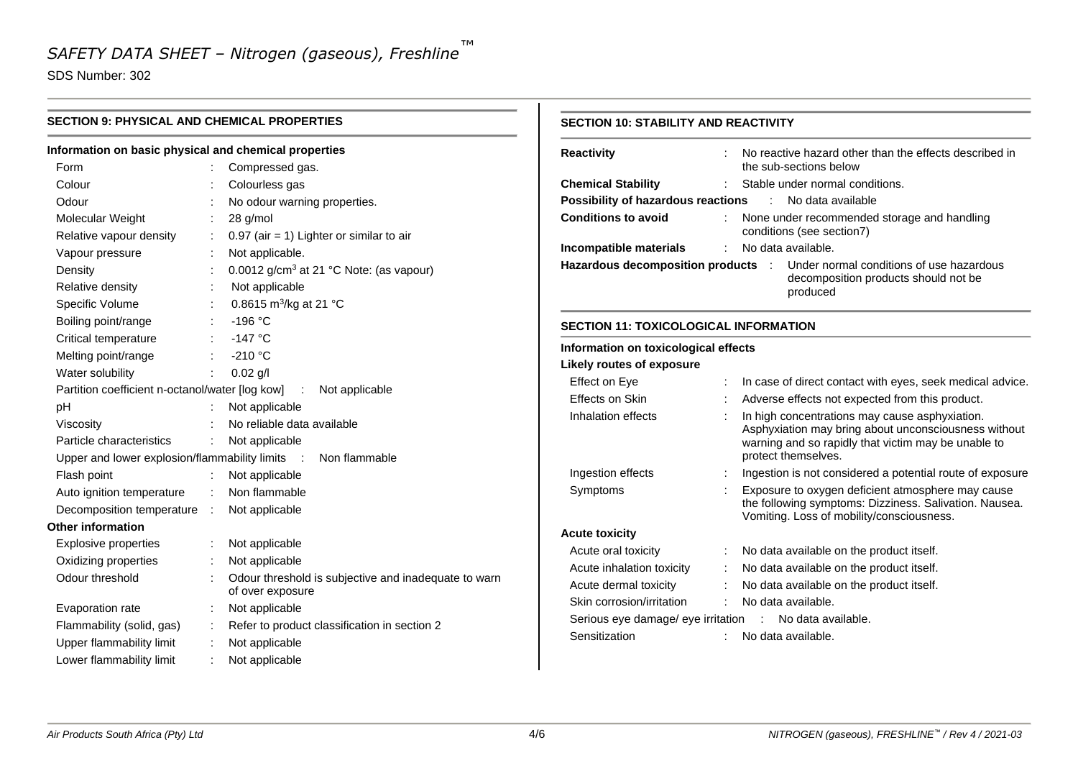SDS Number: 302

| <b>SECTION 9: PHYSICAL AND CHEMICAL PROPERTIES</b><br>Information on basic physical and chemical properties |               |                                                      | <b>SECTION 10: STABILITY AND REACTIVITY</b>             |                                                           |                    |                                                                                                        |
|-------------------------------------------------------------------------------------------------------------|---------------|------------------------------------------------------|---------------------------------------------------------|-----------------------------------------------------------|--------------------|--------------------------------------------------------------------------------------------------------|
|                                                                                                             |               |                                                      | <b>Reactivity</b>                                       |                                                           |                    | No reactive hazard other than the effects described in                                                 |
| Form                                                                                                        |               | Compressed gas.                                      |                                                         |                                                           |                    | the sub-sections below                                                                                 |
| Colour                                                                                                      |               | Colourless gas                                       | <b>Chemical Stability</b>                               |                                                           |                    | Stable under normal conditions.                                                                        |
| Odour                                                                                                       |               | No odour warning properties.                         | Possibility of hazardous reactions                      |                                                           |                    | No data available                                                                                      |
| Molecular Weight                                                                                            |               | 28 g/mol                                             | <b>Conditions to avoid</b>                              |                                                           |                    | None under recommended storage and handling                                                            |
| Relative vapour density                                                                                     |               | $0.97$ (air = 1) Lighter or similar to air           |                                                         |                                                           |                    | conditions (see section7)                                                                              |
| Vapour pressure                                                                                             |               | Not applicable.                                      | Incompatible materials                                  |                                                           |                    | No data available.                                                                                     |
| Density                                                                                                     |               | 0.0012 g/cm <sup>3</sup> at 21 °C Note: (as vapour)  | Hazardous decomposition products :                      |                                                           |                    | Under normal conditions of use hazardous<br>decomposition products should not be                       |
| Relative density                                                                                            |               | Not applicable                                       |                                                         |                                                           |                    | produced                                                                                               |
| Specific Volume                                                                                             |               | 0.8615 m <sup>3</sup> /kg at 21 °C                   |                                                         |                                                           |                    |                                                                                                        |
| Boiling point/range                                                                                         |               | $-196 °C$                                            | <b>SECTION 11: TOXICOLOGICAL INFORMATION</b>            |                                                           |                    |                                                                                                        |
| Critical temperature                                                                                        |               | $-147$ °C                                            |                                                         |                                                           |                    |                                                                                                        |
| Melting point/range                                                                                         |               | $-210 °C$                                            | Information on toxicological effects                    |                                                           |                    |                                                                                                        |
| Water solubility                                                                                            |               | $0.02$ g/l                                           | <b>Likely routes of exposure</b>                        |                                                           |                    |                                                                                                        |
| Partition coefficient n-octanol/water [log kow]                                                             | Effect on Eye |                                                      |                                                         | In case of direct contact with eyes, seek medical advice. |                    |                                                                                                        |
| pH                                                                                                          |               | Not applicable                                       | Effects on Skin                                         |                                                           |                    | Adverse effects not expected from this product.                                                        |
| Viscosity                                                                                                   |               | No reliable data available                           | Inhalation effects                                      |                                                           |                    | In high concentrations may cause asphyxiation.<br>Asphyxiation may bring about unconsciousness without |
| Particle characteristics                                                                                    |               | Not applicable                                       |                                                         |                                                           |                    | warning and so rapidly that victim may be unable to                                                    |
| Upper and lower explosion/flammability limits                                                               |               | Non flammable                                        |                                                         |                                                           |                    | protect themselves.                                                                                    |
| Flash point                                                                                                 |               | Not applicable                                       | Ingestion effects                                       |                                                           |                    | Ingestion is not considered a potential route of exposure                                              |
| Auto ignition temperature                                                                                   |               | Non flammable                                        | Symptoms                                                |                                                           |                    | Exposure to oxygen deficient atmosphere may cause                                                      |
| Decomposition temperature                                                                                   | $\sim$ 1      | Not applicable                                       |                                                         |                                                           |                    | the following symptoms: Dizziness. Salivation. Nausea.                                                 |
| <b>Other information</b>                                                                                    |               |                                                      |                                                         |                                                           |                    | Vomiting. Loss of mobility/consciousness.                                                              |
| <b>Explosive properties</b>                                                                                 |               | Not applicable                                       | <b>Acute toxicity</b>                                   |                                                           |                    |                                                                                                        |
| Oxidizing properties                                                                                        |               | Not applicable                                       | Acute oral toxicity                                     |                                                           |                    | No data available on the product itself.                                                               |
| Odour threshold                                                                                             |               | Odour threshold is subjective and inadequate to warn | Acute inhalation toxicity                               |                                                           |                    | No data available on the product itself.                                                               |
|                                                                                                             |               | of over exposure                                     | Acute dermal toxicity                                   |                                                           |                    | No data available on the product itself.                                                               |
| Evaporation rate                                                                                            |               | Not applicable                                       | Skin corrosion/irritation                               |                                                           |                    | No data available.                                                                                     |
| Flammability (solid, gas)                                                                                   |               | Refer to product classification in section 2         | Serious eye damage/ eye irritation : No data available. |                                                           |                    |                                                                                                        |
| Upper flammability limit                                                                                    |               | Not applicable                                       | Sensitization                                           |                                                           | No data available. |                                                                                                        |
| Lower flammability limit                                                                                    |               | Not applicable                                       |                                                         |                                                           |                    |                                                                                                        |
|                                                                                                             |               |                                                      |                                                         |                                                           |                    |                                                                                                        |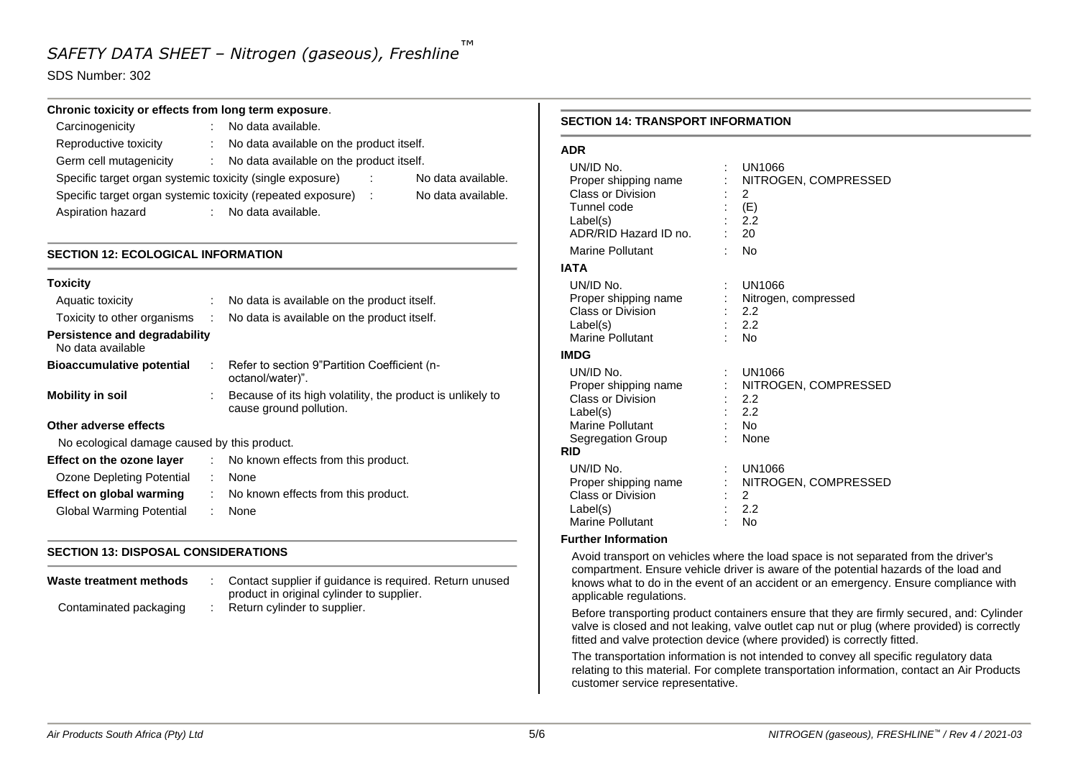#### SDS Number: 302

#### **Chronic toxicity or effects from long term exposure**.

| Carcinogenicity                                             |    | No data available.                       |     |                    |
|-------------------------------------------------------------|----|------------------------------------------|-----|--------------------|
| Reproductive toxicity                                       | t. | No data available on the product itself. |     |                    |
| Germ cell mutagenicity                                      |    | No data available on the product itself. |     |                    |
| Specific target organ systemic toxicity (single exposure)   |    |                                          |     | No data available. |
| Specific target organ systemic toxicity (repeated exposure) |    |                                          | - 1 | No data available. |
| Aspiration hazard                                           |    | No data available.                       |     |                    |

#### **SECTION 12: ECOLOGICAL INFORMATION**

| <b>Toxicity</b>                                    |    |                                                                                       |
|----------------------------------------------------|----|---------------------------------------------------------------------------------------|
| Aquatic toxicity                                   |    | No data is available on the product itself.                                           |
| Toxicity to other organisms                        | ÷. | No data is available on the product itself.                                           |
| Persistence and degradability<br>No data available |    |                                                                                       |
| <b>Bioaccumulative potential</b>                   | ÷. | Refer to section 9"Partition Coefficient (n-<br>octanol/water)".                      |
| <b>Mobility in soil</b>                            |    | Because of its high volatility, the product is unlikely to<br>cause ground pollution. |
| Other adverse effects                              |    |                                                                                       |
| No ecological damage caused by this product.       |    |                                                                                       |
| Effect on the ozone layer                          |    | : No known effects from this product.                                                 |
| Ozone Depleting Potential                          | ÷  | None                                                                                  |
| Effect on global warming                           | ÷  | No known effects from this product.                                                   |
| Global Warming Potential                           |    | None                                                                                  |

#### **SECTION 13: DISPOSAL CONSIDERATIONS**

| Waste treatment methods | Contact supplier if guidance is required. Return unused<br>product in original cylinder to supplier. |
|-------------------------|------------------------------------------------------------------------------------------------------|
| Contaminated packaging  | Return cylinder to supplier.                                                                         |

#### **SECTION 14: TRANSPORT INFORMATION**

#### **ADR**

| UN/ID No.<br>Proper shipping name<br>Class or Division<br>Tunnel code<br>Label(s)<br>ADR/RID Hazard ID no.<br><b>Marine Pollutant</b><br>IATA | t | UN1066<br>NITROGEN, COMPRESSED<br>2<br>(E)<br>2.2<br>$\overline{20}$<br>No |
|-----------------------------------------------------------------------------------------------------------------------------------------------|---|----------------------------------------------------------------------------|
| UN/ID No.                                                                                                                                     |   | UN1066                                                                     |
| Proper shipping name                                                                                                                          |   | Nitrogen, compressed                                                       |
| Class or Division                                                                                                                             |   | 2.2                                                                        |
| Label(s)                                                                                                                                      |   | 2.2                                                                        |
| Marine Pollutant                                                                                                                              |   | No                                                                         |
| <b>IMDG</b>                                                                                                                                   |   |                                                                            |
| UN/ID No.                                                                                                                                     |   | UN1066                                                                     |
| Proper shipping name                                                                                                                          |   | NITROGEN, COMPRESSED                                                       |
| Class or Division                                                                                                                             |   | 2.2                                                                        |
| Label(s)                                                                                                                                      |   | 2.2                                                                        |
| Marine Pollutant                                                                                                                              |   | <b>No</b>                                                                  |
| Segregation Group<br>RID                                                                                                                      |   | None                                                                       |
| UN/ID No.                                                                                                                                     |   |                                                                            |
|                                                                                                                                               |   | UN1066<br>NITROGEN, COMPRESSED                                             |
| Proper shipping name<br><b>Class or Division</b>                                                                                              |   | 2                                                                          |
| Label(s)                                                                                                                                      |   | 2.2                                                                        |
| <b>Marine Pollutant</b>                                                                                                                       |   | No                                                                         |

#### **Further Information**

Avoid transport on vehicles where the load space is not separated from the driver's compartment. Ensure vehicle driver is aware of the potential hazards of the load and knows what to do in the event of an accident or an emergency. Ensure compliance with applicable regulations.

Before transporting product containers ensure that they are firmly secured, and: Cylinder valve is closed and not leaking, valve outlet cap nut or plug (where provided) is correctly fitted and valve protection device (where provided) is correctly fitted.

The transportation information is not intended to convey all specific regulatory data relating to this material. For complete transportation information, contact an Air Products customer service representative.